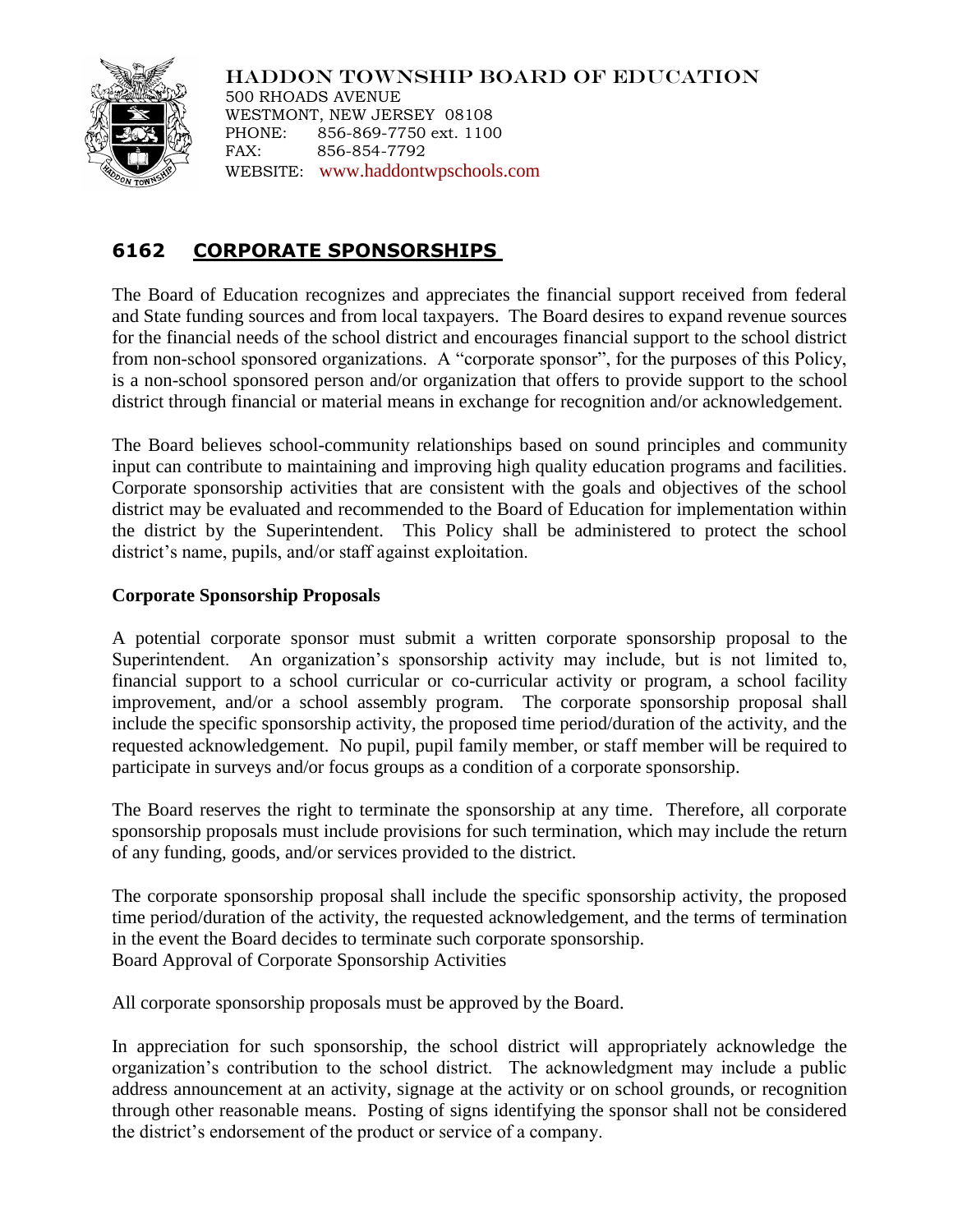

HADDON TOWNSHIP BOARD OF EDUCATION 500 RHOADS AVENUE WESTMONT, NEW JERSEY 08108 PHONE: 856-869-7750 ext. 1100 FAX: 856-854-7792 WEBSITE: [www.haddontwpschools.com](http://www.haddontwpschools.com/)

# **6162 CORPORATE SPONSORSHIPS**

The Board of Education recognizes and appreciates the financial support received from federal and State funding sources and from local taxpayers. The Board desires to expand revenue sources for the financial needs of the school district and encourages financial support to the school district from non-school sponsored organizations. A "corporate sponsor", for the purposes of this Policy, is a non-school sponsored person and/or organization that offers to provide support to the school district through financial or material means in exchange for recognition and/or acknowledgement.

The Board believes school-community relationships based on sound principles and community input can contribute to maintaining and improving high quality education programs and facilities. Corporate sponsorship activities that are consistent with the goals and objectives of the school district may be evaluated and recommended to the Board of Education for implementation within the district by the Superintendent. This Policy shall be administered to protect the school district's name, pupils, and/or staff against exploitation.

## **Corporate Sponsorship Proposals**

A potential corporate sponsor must submit a written corporate sponsorship proposal to the Superintendent. An organization's sponsorship activity may include, but is not limited to, financial support to a school curricular or co-curricular activity or program, a school facility improvement, and/or a school assembly program. The corporate sponsorship proposal shall include the specific sponsorship activity, the proposed time period/duration of the activity, and the requested acknowledgement. No pupil, pupil family member, or staff member will be required to participate in surveys and/or focus groups as a condition of a corporate sponsorship.

The Board reserves the right to terminate the sponsorship at any time. Therefore, all corporate sponsorship proposals must include provisions for such termination, which may include the return of any funding, goods, and/or services provided to the district.

The corporate sponsorship proposal shall include the specific sponsorship activity, the proposed time period/duration of the activity, the requested acknowledgement, and the terms of termination in the event the Board decides to terminate such corporate sponsorship. Board Approval of Corporate Sponsorship Activities

All corporate sponsorship proposals must be approved by the Board.

In appreciation for such sponsorship, the school district will appropriately acknowledge the organization's contribution to the school district. The acknowledgment may include a public address announcement at an activity, signage at the activity or on school grounds, or recognition through other reasonable means. Posting of signs identifying the sponsor shall not be considered the district's endorsement of the product or service of a company.